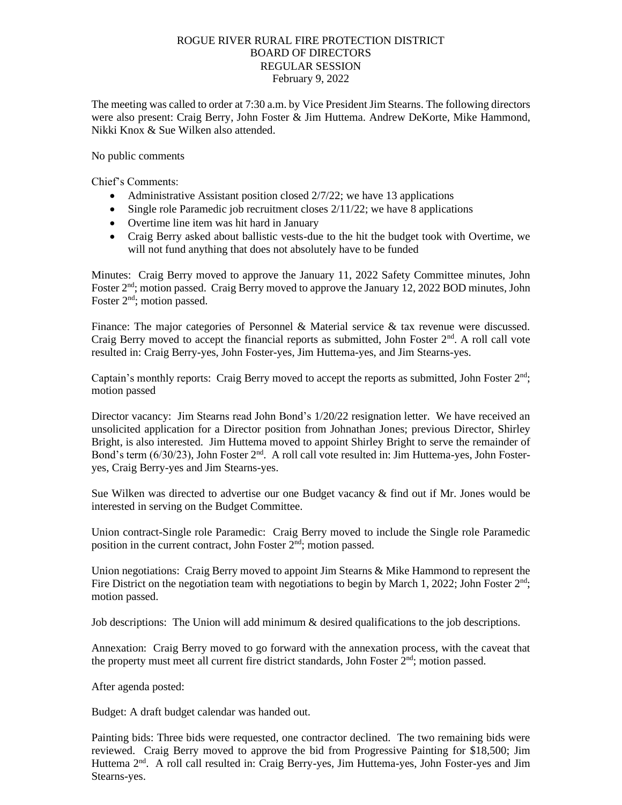## ROGUE RIVER RURAL FIRE PROTECTION DISTRICT BOARD OF DIRECTORS REGULAR SESSION February 9, 2022

The meeting was called to order at 7:30 a.m. by Vice President Jim Stearns. The following directors were also present: Craig Berry, John Foster & Jim Huttema. Andrew DeKorte, Mike Hammond, Nikki Knox & Sue Wilken also attended.

No public comments

Chief's Comments:

- Administrative Assistant position closed  $2/7/22$ ; we have 13 applications
- Single role Paramedic job recruitment closes  $2/11/22$ ; we have 8 applications
- Overtime line item was hit hard in January
- Craig Berry asked about ballistic vests-due to the hit the budget took with Overtime, we will not fund anything that does not absolutely have to be funded

Minutes: Craig Berry moved to approve the January 11, 2022 Safety Committee minutes, John Foster 2<sup>nd</sup>; motion passed. Craig Berry moved to approve the January 12, 2022 BOD minutes, John Foster 2<sup>nd</sup>; motion passed.

Finance: The major categories of Personnel & Material service & tax revenue were discussed. Craig Berry moved to accept the financial reports as submitted, John Foster  $2<sup>nd</sup>$ . A roll call vote resulted in: Craig Berry-yes, John Foster-yes, Jim Huttema-yes, and Jim Stearns-yes.

Captain's monthly reports: Craig Berry moved to accept the reports as submitted, John Foster  $2<sup>nd</sup>$ ; motion passed

Director vacancy: Jim Stearns read John Bond's  $1/20/22$  resignation letter. We have received an unsolicited application for a Director position from Johnathan Jones; previous Director, Shirley Bright, is also interested. Jim Huttema moved to appoint Shirley Bright to serve the remainder of Bond's term (6/30/23), John Foster 2<sup>nd</sup>. A roll call vote resulted in: Jim Huttema-yes, John Fosteryes, Craig Berry-yes and Jim Stearns-yes.

Sue Wilken was directed to advertise our one Budget vacancy & find out if Mr. Jones would be interested in serving on the Budget Committee.

Union contract-Single role Paramedic: Craig Berry moved to include the Single role Paramedic position in the current contract, John Foster  $2<sup>nd</sup>$ ; motion passed.

Union negotiations: Craig Berry moved to appoint Jim Stearns & Mike Hammond to represent the Fire District on the negotiation team with negotiations to begin by March 1, 2022; John Foster  $2<sup>nd</sup>$ ; motion passed.

Job descriptions: The Union will add minimum & desired qualifications to the job descriptions.

Annexation: Craig Berry moved to go forward with the annexation process, with the caveat that the property must meet all current fire district standards, John Foster 2<sup>nd</sup>; motion passed.

After agenda posted:

Budget: A draft budget calendar was handed out.

Painting bids: Three bids were requested, one contractor declined. The two remaining bids were reviewed. Craig Berry moved to approve the bid from Progressive Painting for \$18,500; Jim Huttema 2<sup>nd</sup>. A roll call resulted in: Craig Berry-yes, Jim Huttema-yes, John Foster-yes and Jim Stearns-yes.